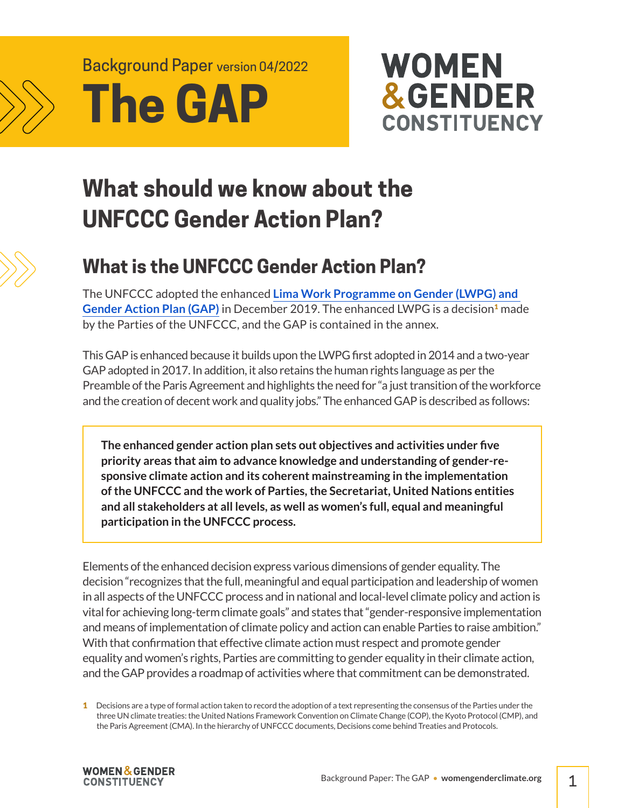

# Background Paper version 04/2022 **The GAP**



# **What should we know about the UNFCCC Gender Action Plan?**



# **What is the UNFCCC Gender Action Plan?**

The UNFCCC adopted the enhanced **[Lima Work Programme on Gender \(LWPG\) and](https://unfccc.int/sites/default/files/resource/cp2019_13a01E.pdf#page=6)  [Gender Action Plan \(GAP\)](https://unfccc.int/sites/default/files/resource/cp2019_13a01E.pdf#page=6)** in December 2019. The enhanced LWPG is a decision<sup>1</sup> made by the Parties of the UNFCCC, and the GAP is contained in the annex.

This GAP is enhanced because it builds upon the LWPG first adopted in 2014 and a two-year GAP adopted in 2017. In addition, it also retains the human rights language as per the Preamble of the Paris Agreement and highlights the need for "a just transition of the workforce and the creation of decent work and quality jobs." The enhanced GAP is described as follows:

**The enhanced gender action plan sets out objectives and activities under five priority areas that aim to advance knowledge and understanding of gender-responsive climate action and its coherent mainstreaming in the implementation of the UNFCCC and the work of Parties, the Secretariat, United Nations entities and all stakeholders at all levels, as well as women's full, equal and meaningful participation in the UNFCCC process.**

Elements of the enhanced decision express various dimensions of gender equality. The decision "recognizes that the full, meaningful and equal participation and leadership of women in all aspects of the UNFCCC process and in national and local-level climate policy and action is vital for achieving long-term climate goals" and states that "gender-responsive implementation and means of implementation of climate policy and action can enable Parties to raise ambition." With that confirmation that effective climate action must respect and promote gender equality and women's rights, Parties are committing to gender equality in their climate action, and the GAP provides a roadmap of activities where that commitment can be demonstrated.

**1** Decisions are a type of formal action taken to record the adoption of a text representing the consensus of the Parties under the three UN climate treaties: the United Nations Framework Convention on Climate Change (COP), the Kyoto Protocol (CMP), and the Paris Agreement (CMA). In the hierarchy of UNFCCC documents, Decisions come behind Treaties and Protocols.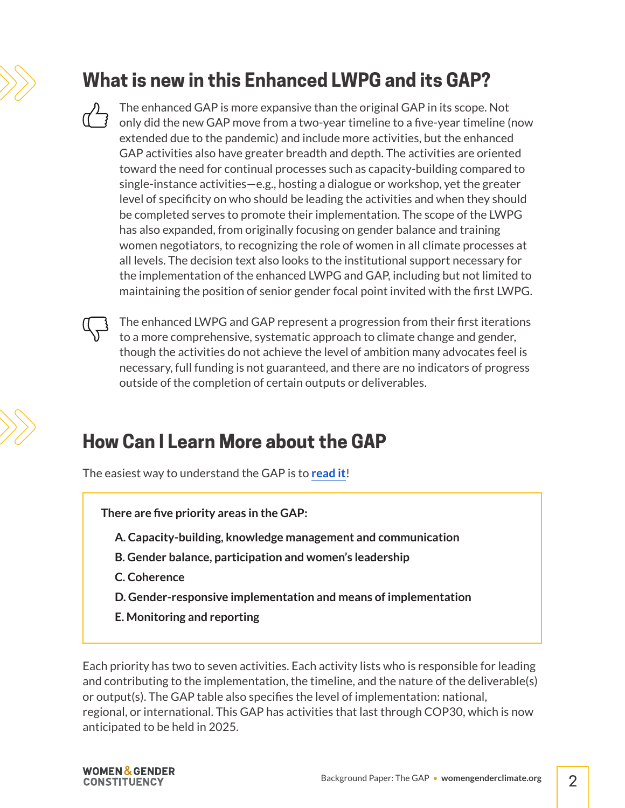# **What is new in this Enhanced LWPG and its GAP?**

The enhanced GAP is more expansive than the original GAP in its scope. Not only did the new GAP move from a two-year timeline to a five-year timeline (now extended due to the pandemic) and include more activities, but the enhanced GAP activities also have greater breadth and depth. The activities are oriented toward the need for continual processes such as capacity-building compared to single-instance activities—e.g., hosting a dialogue or workshop, yet the greater level of specificity on who should be leading the activities and when they should be completed serves to promote their implementation. The scope of the LWPG has also expanded, from originally focusing on gender balance and training women negotiators, to recognizing the role of women in all climate processes at all levels. The decision text also looks to the institutional support necessary for the implementation of the enhanced LWPG and GAP, including but not limited to maintaining the position of senior gender focal point invited with the first LWPG.

The enhanced LWPG and GAP represent a progression from their first iterations to a more comprehensive, systematic approach to climate change and gender, though the activities do not achieve the level of ambition many advocates feel is necessary, full funding is not guaranteed, and there are no indicators of progress outside of the completion of certain outputs or deliverables.

### **How Can I Learn More about the GAP**

The easiest way to understand the GAP is to **[read it](https://unfccc.int/sites/default/files/resource/cp2019_13a01E.pdf#page=10)**!

**There are five priority areas in the GAP:**

- **A. Capacity-building, knowledge management and communication**
- **B. Gender balance, participation and women's leadership**
- **C. Coherence**
- **D. Gender-responsive implementation and means of implementation**
- **E. Monitoring and reporting**

Each priority has two to seven activities. Each activity lists who is responsible for leading and contributing to the implementation, the timeline, and the nature of the deliverable(s) or output(s). The GAP table also specifies the level of implementation: national, regional, or international. This GAP has activities that last through COP30, which is now anticipated to be held in 2025.

**WOMEN & GENDER CONSTITUENCY**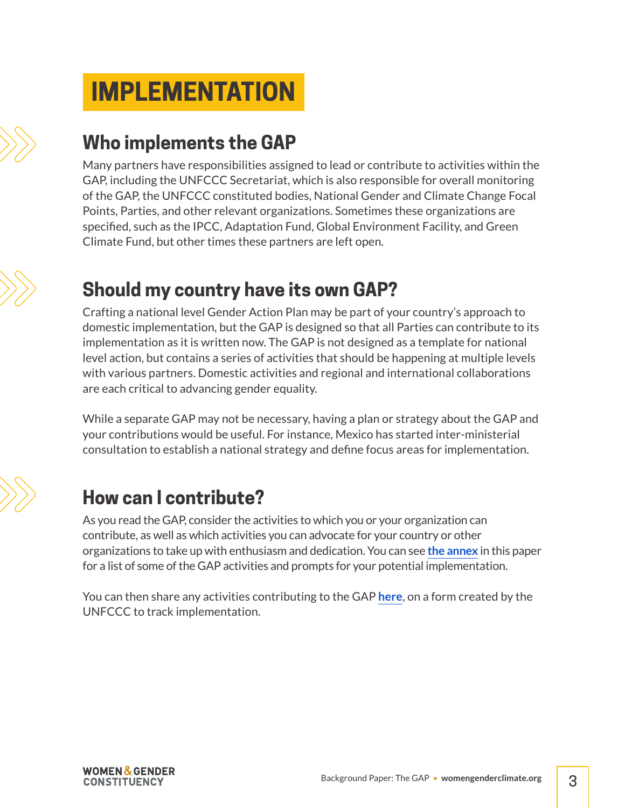# **IMPLEMENTATION**

## **Who implements the GAP**

Many partners have responsibilities assigned to lead or contribute to activities within the GAP, including the UNFCCC Secretariat, which is also responsible for overall monitoring of the GAP, the UNFCCC constituted bodies, National Gender and Climate Change Focal Points, Parties, and other relevant organizations. Sometimes these organizations are specified, such as the IPCC, Adaptation Fund, Global Environment Facility, and Green Climate Fund, but other times these partners are left open.

# **Should my country have its own GAP?**

Crafting a national level Gender Action Plan may be part of your country's approach to domestic implementation, but the GAP is designed so that all Parties can contribute to its implementation as it is written now. The GAP is not designed as a template for national level action, but contains a series of activities that should be happening at multiple levels with various partners. Domestic activities and regional and international collaborations are each critical to advancing gender equality.

While a separate GAP may not be necessary, having a plan or strategy about the GAP and your contributions would be useful. For instance, Mexico has started inter-ministerial consultation to establish a national strategy and define focus areas for implementation.

# **How can I contribute?**

As you read the GAP, consider the activities to which you or your organization can contribute, as well as which activities you can advocate for your country or other organizations to take up with enthusiasm and dedication. You can see **[the annex](#page-4-0)** in this paper for a list of some of the GAP activities and prompts for your potential implementation.

You can then share any activities contributing to the GAP **[here](https://unfccc.int/topics/gender/workstreams/supporting-the-implementation-of-3CP25#eq-3)**, on a form created by the UNFCCC to track implementation.

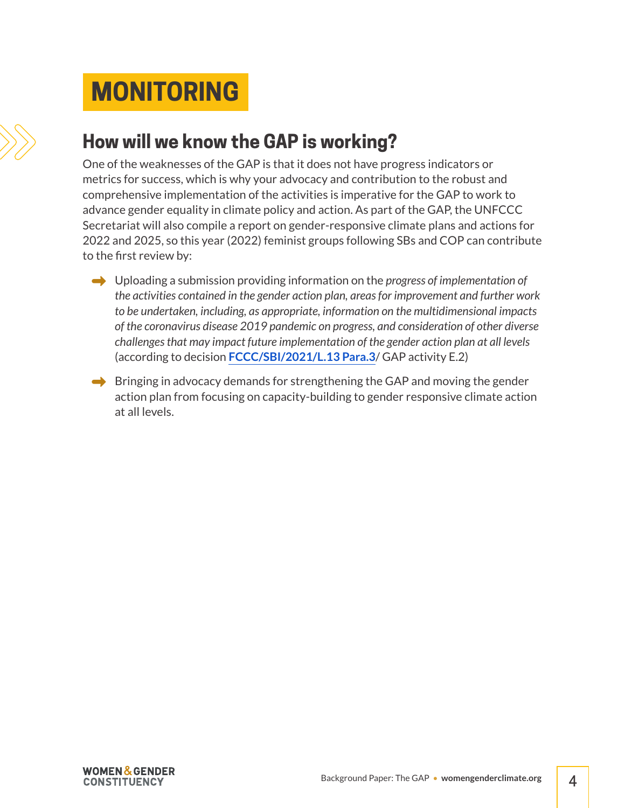# **MONITORING**



One of the weaknesses of the GAP is that it does not have progress indicators or metrics for success, which is why your advocacy and contribution to the robust and comprehensive implementation of the activities is imperative for the GAP to work to advance gender equality in climate policy and action. As part of the GAP, the UNFCCC Secretariat will also compile a report on gender-responsive climate plans and actions for 2022 and 2025, so this year (2022) feminist groups following SBs and COP can contribute to the first review by:

- **→** Uploading a submission providing information on the *progress of implementation of the activities contained in the gender action plan, areas for improvement and further work to be undertaken, including, as appropriate, information on the multidimensional impacts of the coronavirus disease 2019 pandemic on progress, and consideration of other diverse challenges that may impact future implementation of the gender action plan at all levels* (according to decision **[FCCC/SBI/2021/L.13 Para.3](https://unfccc.int/sites/default/files/resource/cop26_auv_13%20gender_and_climate_change.pdf)**/ GAP activity E.2)
- $\rightarrow$  Bringing in advocacy demands for strengthening the GAP and moving the gender action plan from focusing on capacity-building to gender responsive climate action at all levels.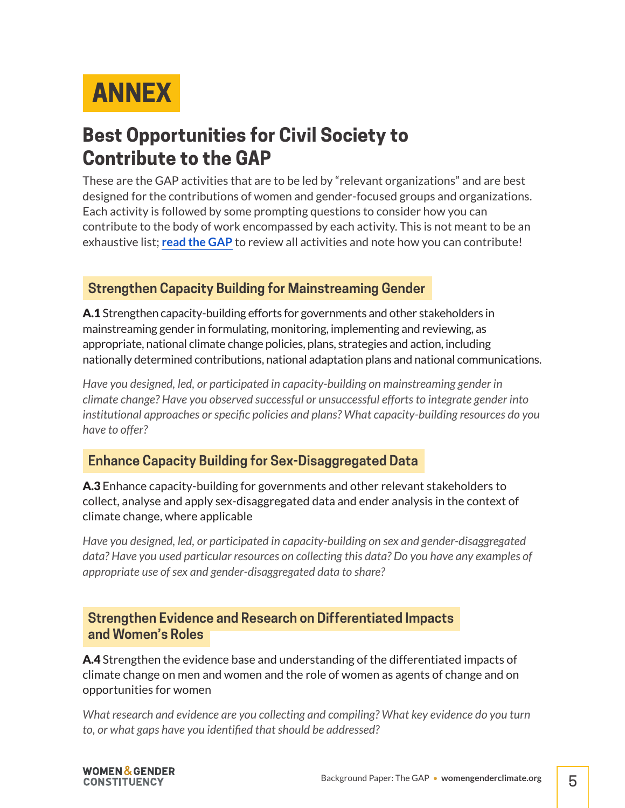<span id="page-4-0"></span>

## **Best Opportunities for Civil Society to Contribute to the GAP**

These are the GAP activities that are to be led by "relevant organizations" and are best designed for the contributions of women and gender-focused groups and organizations. Each activity is followed by some prompting questions to consider how you can contribute to the body of work encompassed by each activity. This is not meant to be an exhaustive list; **[read the GAP](https://unfccc.int/sites/default/files/resource/cp2019_13a01E.pdf#page=10)** to review all activities and note how you can contribute!

### **Strengthen Capacity Building for Mainstreaming Gender**

A.1 Strengthen capacity-building efforts for governments and other stakeholders in mainstreaming gender in formulating, monitoring, implementing and reviewing, as appropriate, national climate change policies, plans, strategies and action, including nationally determined contributions, national adaptation plans and national communications.

*Have you designed, led, or participated in capacity-building on mainstreaming gender in climate change? Have you observed successful or unsuccessful efforts to integrate gender into institutional approaches or specific policies and plans? What capacity-building resources do you have to offer?*

### **Enhance Capacity Building for Sex-Disaggregated Data**

A.3 Enhance capacity-building for governments and other relevant stakeholders to collect, analyse and apply sex-disaggregated data and ender analysis in the context of climate change, where applicable

*Have you designed, led, or participated in capacity-building on sex and gender-disaggregated data? Have you used particular resources on collecting this data? Do you have any examples of appropriate use of sex and gender-disaggregated data to share?*

#### **Strengthen Evidence and Research on Differentiated Impacts and Women's Roles**

**A.4** Strengthen the evidence base and understanding of the differentiated impacts of climate change on men and women and the role of women as agents of change and on opportunities for women

*What research and evidence are you collecting and compiling? What key evidence do you turn to, or what gaps have you identified that should be addressed?*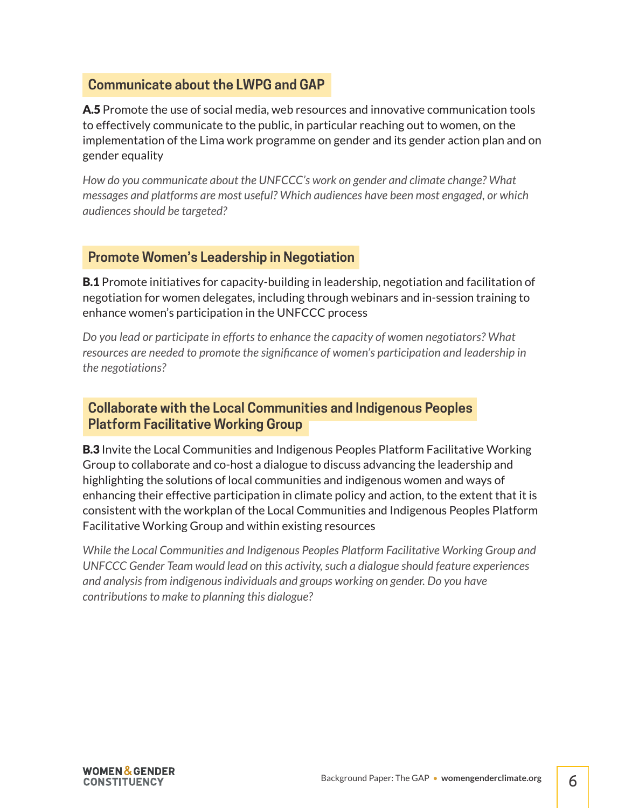#### **Communicate about the LWPG and GAP**

A.5 Promote the use of social media, web resources and innovative communication tools to effectively communicate to the public, in particular reaching out to women, on the implementation of the Lima work programme on gender and its gender action plan and on gender equality

*How do you communicate about the UNFCCC's work on gender and climate change? What messages and platforms are most useful? Which audiences have been most engaged, or which audiences should be targeted?*

#### **Promote Women's Leadership in Negotiation**

**B.1** Promote initiatives for capacity-building in leadership, negotiation and facilitation of negotiation for women delegates, including through webinars and in-session training to enhance women's participation in the UNFCCC process

*Do you lead or participate in efforts to enhance the capacity of women negotiators? What*  resources are needed to promote the significance of women's participation and leadership in *the negotiations?* 

#### **Collaborate with the Local Communities and Indigenous Peoples Platform Facilitative Working Group**

**B.3** Invite the Local Communities and Indigenous Peoples Platform Facilitative Working Group to collaborate and co-host a dialogue to discuss advancing the leadership and highlighting the solutions of local communities and indigenous women and ways of enhancing their effective participation in climate policy and action, to the extent that it is consistent with the workplan of the Local Communities and Indigenous Peoples Platform Facilitative Working Group and within existing resources

*While the Local Communities and Indigenous Peoples Platform Facilitative Working Group and UNFCCC Gender Team would lead on this activity, such a dialogue should feature experiences and analysis from indigenous individuals and groups working on gender. Do you have contributions to make to planning this dialogue?*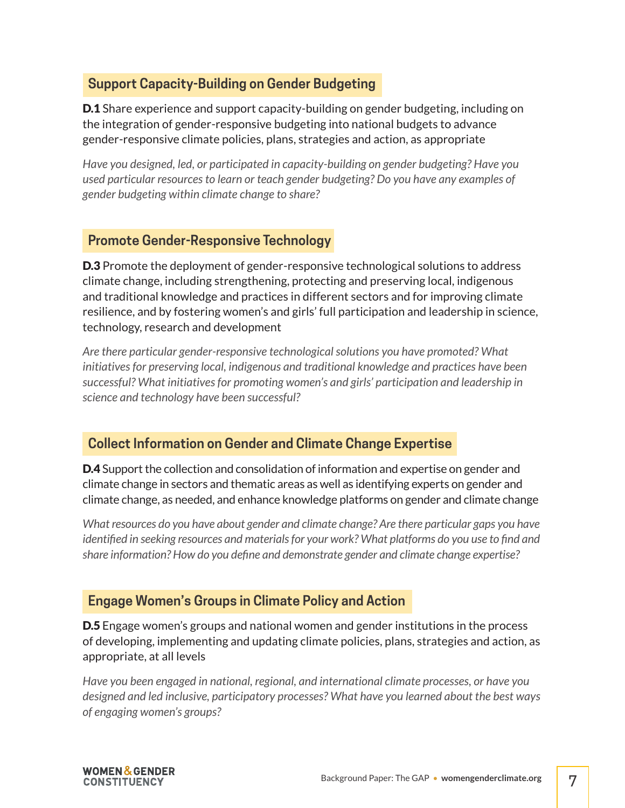### **Support Capacity-Building on Gender Budgeting**

**D.1** Share experience and support capacity-building on gender budgeting, including on the integration of gender-responsive budgeting into national budgets to advance gender-responsive climate policies, plans, strategies and action, as appropriate

*Have you designed, led, or participated in capacity-building on gender budgeting? Have you used particular resources to learn or teach gender budgeting? Do you have any examples of gender budgeting within climate change to share?*

### **Promote Gender-Responsive Technology**

**D.3** Promote the deployment of gender-responsive technological solutions to address climate change, including strengthening, protecting and preserving local, indigenous and traditional knowledge and practices in different sectors and for improving climate resilience, and by fostering women's and girls' full participation and leadership in science, technology, research and development

*Are there particular gender-responsive technological solutions you have promoted? What initiatives for preserving local, indigenous and traditional knowledge and practices have been successful? What initiatives for promoting women's and girls' participation and leadership in science and technology have been successful?*

### **Collect Information on Gender and Climate Change Expertise**

**D.4** Support the collection and consolidation of information and expertise on gender and climate change in sectors and thematic areas as well as identifying experts on gender and climate change, as needed, and enhance knowledge platforms on gender and climate change

*What resources do you have about gender and climate change? Are there particular gaps you have identified in seeking resources and materials for your work? What platforms do you use to find and share information? How do you define and demonstrate gender and climate change expertise?*

### **Engage Women's Groups in Climate Policy and Action**

**D.5** Engage women's groups and national women and gender institutions in the process of developing, implementing and updating climate policies, plans, strategies and action, as appropriate, at all levels

*Have you been engaged in national, regional, and international climate processes, or have you designed and led inclusive, participatory processes? What have you learned about the best ways of engaging women's groups?*